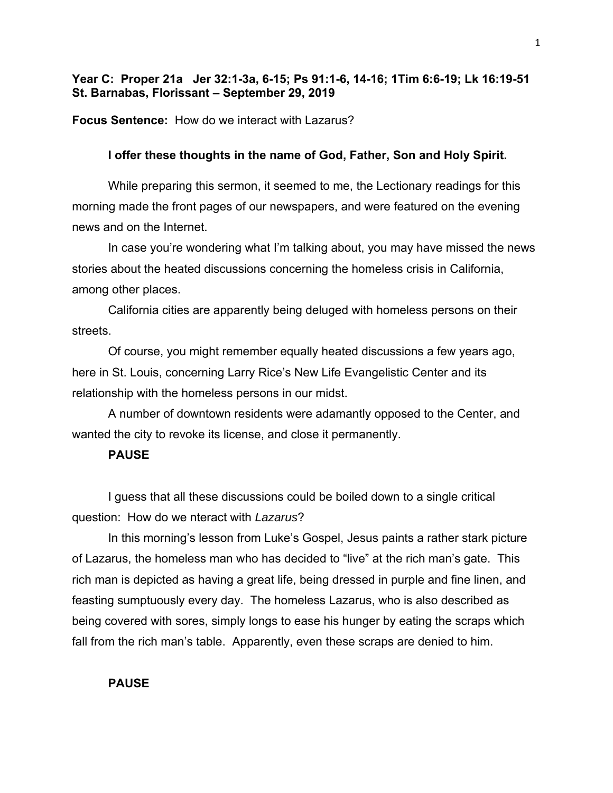## **Year C: Proper 21a Jer 32:1-3a, 6-15; Ps 91:1-6, 14-16; 1Tim 6:6-19; Lk 16:19-51 St. Barnabas, Florissant – September 29, 2019**

**Focus Sentence:** How do we interact with Lazarus?

### **I offer these thoughts in the name of God, Father, Son and Holy Spirit.**

While preparing this sermon, it seemed to me, the Lectionary readings for this morning made the front pages of our newspapers, and were featured on the evening news and on the Internet.

In case you're wondering what I'm talking about, you may have missed the news stories about the heated discussions concerning the homeless crisis in California, among other places.

California cities are apparently being deluged with homeless persons on their streets.

Of course, you might remember equally heated discussions a few years ago, here in St. Louis, concerning Larry Rice's New Life Evangelistic Center and its relationship with the homeless persons in our midst.

A number of downtown residents were adamantly opposed to the Center, and wanted the city to revoke its license, and close it permanently.

#### **PAUSE**

I guess that all these discussions could be boiled down to a single critical question: How do we nteract with *Lazarus*?

In this morning's lesson from Luke's Gospel, Jesus paints a rather stark picture of Lazarus, the homeless man who has decided to "live" at the rich man's gate. This rich man is depicted as having a great life, being dressed in purple and fine linen, and feasting sumptuously every day. The homeless Lazarus, who is also described as being covered with sores, simply longs to ease his hunger by eating the scraps which fall from the rich man's table. Apparently, even these scraps are denied to him.

## **PAUSE**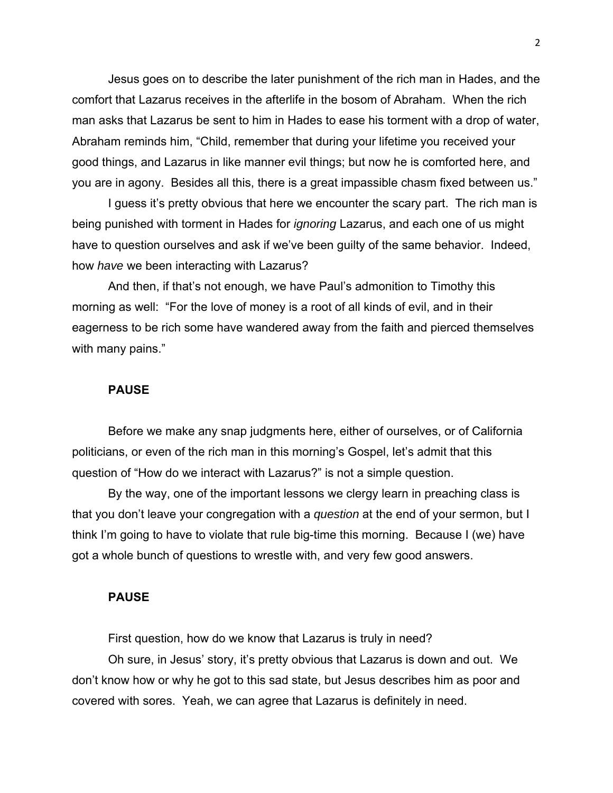Jesus goes on to describe the later punishment of the rich man in Hades, and the comfort that Lazarus receives in the afterlife in the bosom of Abraham. When the rich man asks that Lazarus be sent to him in Hades to ease his torment with a drop of water, Abraham reminds him, "Child, remember that during your lifetime you received your good things, and Lazarus in like manner evil things; but now he is comforted here, and you are in agony. Besides all this, there is a great impassible chasm fixed between us."

I guess it's pretty obvious that here we encounter the scary part. The rich man is being punished with torment in Hades for *ignoring* Lazarus, and each one of us might have to question ourselves and ask if we've been guilty of the same behavior. Indeed, how *have* we been interacting with Lazarus?

And then, if that's not enough, we have Paul's admonition to Timothy this morning as well: "For the love of money is a root of all kinds of evil, and in their eagerness to be rich some have wandered away from the faith and pierced themselves with many pains."

#### **PAUSE**

Before we make any snap judgments here, either of ourselves, or of California politicians, or even of the rich man in this morning's Gospel, let's admit that this question of "How do we interact with Lazarus?" is not a simple question.

By the way, one of the important lessons we clergy learn in preaching class is that you don't leave your congregation with a *question* at the end of your sermon, but I think I'm going to have to violate that rule big-time this morning. Because I (we) have got a whole bunch of questions to wrestle with, and very few good answers.

## **PAUSE**

First question, how do we know that Lazarus is truly in need?

Oh sure, in Jesus' story, it's pretty obvious that Lazarus is down and out. We don't know how or why he got to this sad state, but Jesus describes him as poor and covered with sores. Yeah, we can agree that Lazarus is definitely in need.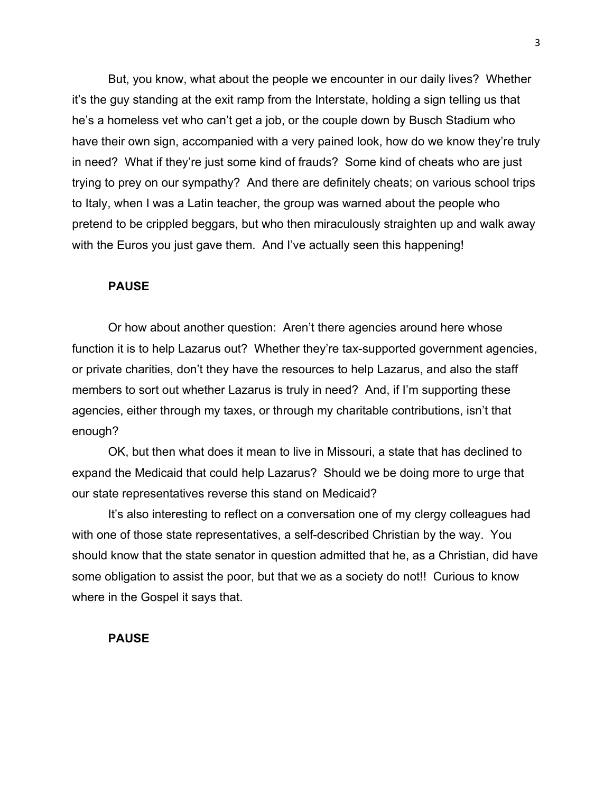But, you know, what about the people we encounter in our daily lives? Whether it's the guy standing at the exit ramp from the Interstate, holding a sign telling us that he's a homeless vet who can't get a job, or the couple down by Busch Stadium who have their own sign, accompanied with a very pained look, how do we know they're truly in need? What if they're just some kind of frauds? Some kind of cheats who are just trying to prey on our sympathy? And there are definitely cheats; on various school trips to Italy, when I was a Latin teacher, the group was warned about the people who pretend to be crippled beggars, but who then miraculously straighten up and walk away with the Euros you just gave them. And I've actually seen this happening!

#### **PAUSE**

Or how about another question: Aren't there agencies around here whose function it is to help Lazarus out? Whether they're tax-supported government agencies, or private charities, don't they have the resources to help Lazarus, and also the staff members to sort out whether Lazarus is truly in need? And, if I'm supporting these agencies, either through my taxes, or through my charitable contributions, isn't that enough?

OK, but then what does it mean to live in Missouri, a state that has declined to expand the Medicaid that could help Lazarus? Should we be doing more to urge that our state representatives reverse this stand on Medicaid?

It's also interesting to reflect on a conversation one of my clergy colleagues had with one of those state representatives, a self-described Christian by the way. You should know that the state senator in question admitted that he, as a Christian, did have some obligation to assist the poor, but that we as a society do not!! Curious to know where in the Gospel it says that.

#### **PAUSE**